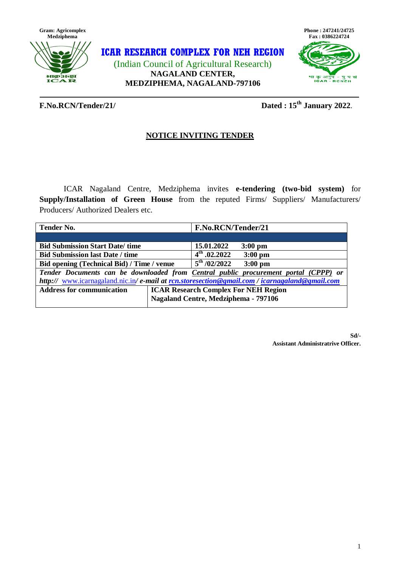

**ICAR RESEARCH COMPLEX FOR NEH REGION** (Indian Council of Agricultural Research) **NAGALAND CENTER, MEDZIPHEMA, NAGALAND-797106**



## **F.No.RCN/Tender/21/**

**Dated: 15<sup>th</sup> January 2022**.

# **NOTICE INVITING TENDER**

ICAR Nagaland Centre, Medziphema invites **e-tendering (two-bid system)** for **Supply/Installation of Green House** from the reputed Firms/ Suppliers/ Manufacturers/ Producers/ Authorized Dealers etc.

| <b>Tender No.</b>                                                                           |                                             | F.No.RCN/Tender/21        |           |  |  |  |  |
|---------------------------------------------------------------------------------------------|---------------------------------------------|---------------------------|-----------|--|--|--|--|
|                                                                                             |                                             |                           |           |  |  |  |  |
| <b>Bid Submission Start Date/time</b>                                                       |                                             | 15.01.2022                | $3:00$ pm |  |  |  |  |
| <b>Bid Submission last Date / time</b>                                                      |                                             | $4^{\text{th}}$ , 02.2022 | $3:00$ pm |  |  |  |  |
| Bid opening (Technical Bid) / Time / venue                                                  |                                             | $5^{\rm th}$ /02/2022     | $3:00$ pm |  |  |  |  |
| Tender Documents can be downloaded from Central public procurement portal (CPPP) or         |                                             |                           |           |  |  |  |  |
| http:// www.icarnagaland.nic.in/e-mail at rcn.storesection@gmail.com/icarnagaland@gmail.com |                                             |                           |           |  |  |  |  |
| <b>Address for communication</b>                                                            | <b>ICAR Research Complex For NEH Region</b> |                           |           |  |  |  |  |
|                                                                                             | Nagaland Centre, Medziphema - 797106        |                           |           |  |  |  |  |

**Sd/- Assistant Administratrive Officer.**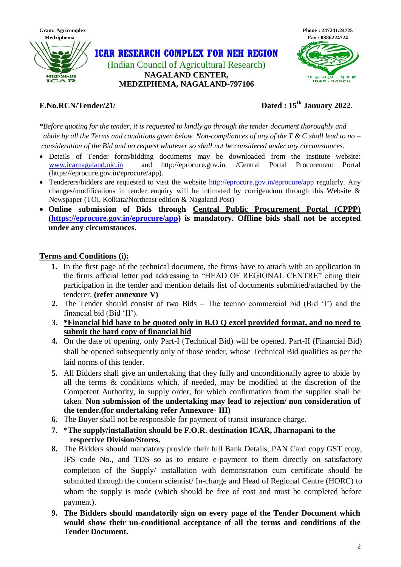

**ICAR RESEARCH COMPLEX FOR NEH REGION** (Indian Council of Agricultural Research) **NAGALAND CENTER,**

**MEDZIPHEMA, NAGALAND-797106**



# **F.No.RCN/Tender/21/**

# **Dated** : 15<sup>th</sup> January 2022.

*\*Before quoting for the tender, it is requested to kindly go through the tender document thoroughly and abide by all the Terms and conditions given below. Non-compliances of any of the T & C shall lead to no – consideration of the Bid and no request whatever so shall not be considered under any circumstances.* 

- Details of Tender form/bidding documents may be downloaded from the institute website: [www.icarnagaland.nic.in](http://www.icarnagaland.nic.in/) and http://eprocure.gov.in. /Central Portal Procurement Portal (https://eprocure.gov.in/eprocure/app).
- Tenderers/bidders are requested to visit the website http://eprocure.gov.in/eprocure/app regularly. Any changes/modifications in tender enquiry will be intimated by corrigendum through this Website  $\&$ Newspaper (TOI, Kolkata/Northeast edition & Nagaland Post)
- **Online submission of Bids through Central Public Procurement Portal (CPPP) [\(https://eprocure.gov.in/eprocure/app\)](https://eprocure.gov.in/eprocure/app) is mandatory. Offline bids shall not be accepted under any circumstances.**

# **Terms and Conditions (i):**

- **1.** In the first page of the technical document, the firms have to attach with an application in the firms official letter pad addressing to "HEAD OF REGIONAL CENTRE" citing their participation in the tender and mention details list of documents submitted/attached by the tenderer. **(refer annexure V)**
- **2.** The Tender should consist of two Bids The techno commercial bid (Bid "I") and the financial bid (Bid "II").
- **3. \*Financial bid have to be quoted only in B.O Q excel provided format, and no need to submit the hard copy of financial bid**
- **4.** On the date of opening, only Part-I (Technical Bid) will be opened. Part-II (Financial Bid) shall be opened subsequently only of those tender, whose Technical Bid qualifies as per the laid norms of this tender.
- **5.** All Bidders shall give an undertaking that they fully and unconditionally agree to abide by all the terms & conditions which, if needed, may be modified at the discretion of the Competent Authority, in supply order, for which confirmation from the supplier shall be taken. **Non submission of the undertaking may lead to rejection/ non consideration of the tender.(for undertaking refer Annexure- III)**
- **6.** The Buyer shall not be responsible for payment of transit insurance charge.
- **7.** \***The supply/installation should be F.O.R. destination ICAR, Jharnapani to the respective Division/Stores.**
- **8.** The Bidders should mandatory provide their full Bank Details, PAN Card copy GST copy, IFS code No., and TDS so as to ensure e-payment to them directly on satisfactory completion of the Supply/ installation with demonstration cum certificate should be submitted through the concern scientist/ In-charge and Head of Regional Centre (HORC) to whom the supply is made (which should be free of cost and must be completed before payment).
- **9. The Bidders should mandatorily sign on every page of the Tender Document which would show their un-conditional acceptance of all the terms and conditions of the Tender Document.**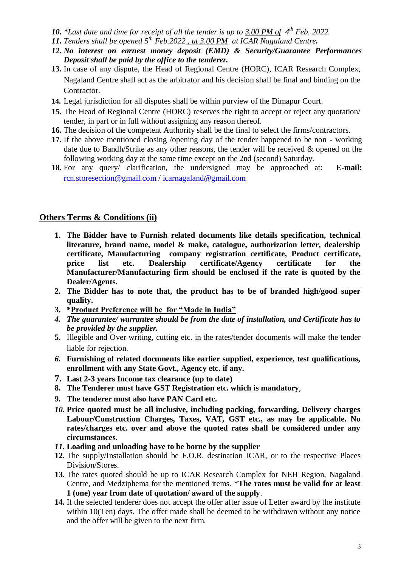- *10. \*Last date and time for receipt of all the tender is up to 3.00 PM of 4 th Feb. 2022.*
- *11. Tenders shall be opened 5 th Feb.2022 , at 3.00 PM at ICAR Nagaland Centre.*
- *12. No interest on earnest money deposit (EMD) & Security/Guarantee Performances Deposit shall be paid by the office to the tenderer.*
- **13.** In case of any dispute, the Head of Regional Centre (HORC), ICAR Research Complex, Nagaland Centre shall act as the arbitrator and his decision shall be final and binding on the Contractor.
- **14.** Legal jurisdiction for all disputes shall be within purview of the Dimapur Court.
- **15.** The Head of Regional Centre (HORC) reserves the right to accept or reject any quotation/ tender, in part or in full without assigning any reason thereof.
- **16.** The decision of the competent Authority shall be the final to select the firms/contractors.
- **17.** If the above mentioned closing /opening day of the tender happened to be non working date due to Bandh/Strike as any other reasons, the tender will be received & opened on the following working day at the same time except on the 2nd (second) Saturday.
- **18.** For any query/ clarification, the undersigned may be approached at: **E-mail:**  [rcn.storesection@gmail.com](mailto:rcn.storesection@gmail.com) / [icarnagaland@gmail.com](mailto:icarnagaland@gmail.com)

## **Others Terms & Conditions (ii)**

- **1. The Bidder have to Furnish related documents like details specification, technical literature, brand name, model & make, catalogue, authorization letter, dealership certificate, Manufacturing company registration certificate, Product certificate, price list etc. Dealership certificate/Agency certificate for the Manufacturer/Manufacturing firm should be enclosed if the rate is quoted by the Dealer/Agents.**
- **2. The Bidder has to note that, the product has to be of branded high/good super quality.**
- **3. \*Product Preference will be for "Made in India"**
- *4. The guarantee/ warrantee should be from the date of installation, and Certificate has to be provided by the supplier.*
- **5.** Illegible and Over writing, cutting etc. in the rates/tender documents will make the tender liable for rejection.
- *6.* **Furnishing of related documents like earlier supplied, experience, test qualifications, enrollment with any State Govt., Agency etc. if any.**
- **7. Last 2-3 years Income tax clearance (up to date)**
- **8. The Tenderer must have GST Registration etc. which is mandatory**,
- **9. The tenderer must also have PAN Card etc.**
- *10.* **Price quoted must be all inclusive, including packing, forwarding, Delivery charges Labour/Construction Charges, Taxes, VAT, GST etc., as may be applicable. No rates/charges etc. over and above the quoted rates shall be considered under any circumstances.**
- *11.* **Loading and unloading have to be borne by the supplier**
- **12.** The supply/Installation should be F.O.R. destination ICAR, or to the respective Places Division/Stores.
- **13.** The rates quoted should be up to ICAR Research Complex for NEH Region, Nagaland Centre, and Medziphema for the mentioned items. \***The rates must be valid for at least 1 (one) year from date of quotation/ award of the supply**.
- **14.** If the selected tenderer does not accept the offer after issue of Letter award by the institute within 10(Ten) days. The offer made shall be deemed to be withdrawn without any notice and the offer will be given to the next firm.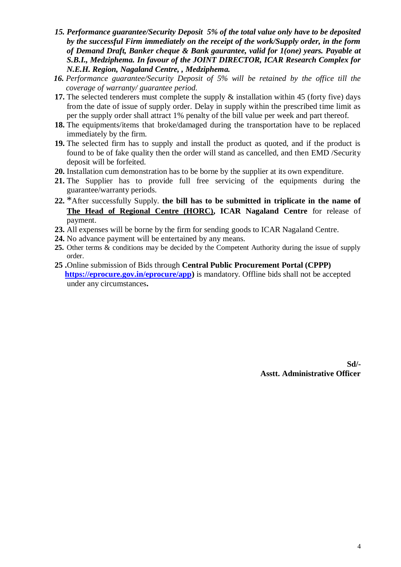- *15. Performance guarantee/Security Deposit 5% of the total value only have to be deposited by the successful Firm immediately on the receipt of the work/Supply order, in the form of Demand Draft, Banker cheque & Bank gaurantee, valid for 1(one) years. Payable at S.B.I., Medziphema. In favour of the JOINT DIRECTOR, ICAR Research Complex for N.E.H. Region, Nagaland Centre, , Medziphema.*
- *16. Performance guarantee/Security Deposit of 5% will be retained by the office till the coverage of warranty/ guarantee period.*
- **17.** The selected tenderers must complete the supply & installation within 45 (forty five) days from the date of issue of supply order. Delay in supply within the prescribed time limit as per the supply order shall attract 1% penalty of the bill value per week and part thereof.
- **18.** The equipments/items that broke/damaged during the transportation have to be replaced immediately by the firm.
- **19.** The selected firm has to supply and install the product as quoted, and if the product is found to be of fake quality then the order will stand as cancelled, and then EMD /Security deposit will be forfeited.
- **20.** Installation cum demonstration has to be borne by the supplier at its own expenditure.
- **21.** The Supplier has to provide full free servicing of the equipments during the guarantee/warranty periods.
- **22.** \*After successfully Supply. **the bill has to be submitted in triplicate in the name of The Head of Regional Centre (HORC), ICAR Nagaland Centre** for release of payment.
- **23.** All expenses will be borne by the firm for sending goods to ICAR Nagaland Centre.
- **24.** No advance payment will be entertained by any means.
- **25.** Other terms & conditions may be decided by the Competent Authority during the issue of supply order.
- **25 .**Online submission of Bids through **Central Public Procurement Portal (CPPP) [https://eprocure.gov.in/eprocure/app\)](https://eprocure.gov.in/eprocure/app)** is mandatory. Offline bids shall not be accepted under any circumstances**.**

**Sd/- Asstt. Administrative Officer**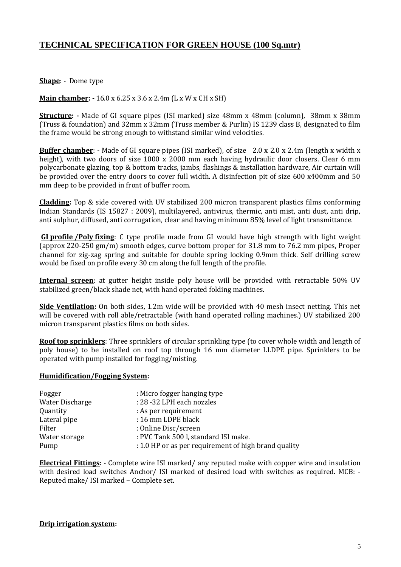# **TECHNICAL SPECIFICATION FOR GREEN HOUSE (100 Sq.mtr)**

### **Shape**: - Dome type

### **Main chamber: -** 16.0 x 6.25 x 3.6 x 2.4m (L x W x CH x SH)

**Structure:** - Made of GI square pipes (ISI marked) size 48mm x 48mm (column), 38mm x 38mm (Truss & foundation) and 32mm x 32mm (Truss member & Purlin) IS 1239 class B, designated to film the frame would be strong enough to withstand similar wind velocities.

**Buffer chamber**: - Made of GI square pipes (ISI marked), of size 2.0 x 2.0 x 2.4m (length x width x height), with two doors of size 1000 x 2000 mm each having hydraulic door closers. Clear 6 mm polycarbonate glazing, top & bottom tracks, jambs, flashings & installation hardware, Air curtain will be provided over the entry doors to cover full width. A disinfection pit of size 600 x400mm and 50 mm deep to be provided in front of buffer room.

**Cladding:** Top & side covered with UV stabilized 200 micron transparent plastics films conforming Indian Standards (IS 15827 : 2009), multilayered, antivirus, thermic, anti mist, anti dust, anti drip, anti sulphur, diffused, anti corrugation, clear and having minimum 85% level of light transmittance.

**GI profile /Poly fixing**: C type profile made from GI would have high strength with light weight (approx 220-250 gm/m) smooth edges, curve bottom proper for 31.8 mm to 76.2 mm pipes, Proper channel for zig-zag spring and suitable for double spring locking 0.9mm thick. Self drilling screw would be fixed on profile every 30 cm along the full length of the profile.

**Internal screen:** at gutter height inside poly house will be provided with retractable 50% UV stabilized green/black shade net, with hand operated folding machines.

**Side Ventilation:** On both sides, 1.2m wide will be provided with 40 mesh insect netting. This net will be covered with roll able/retractable (with hand operated rolling machines.) UV stabilized 200 micron transparent plastics films on both sides.

**Roof top sprinklers**: Three sprinklers of circular sprinkling type (to cover whole width and length of poly house) to be installed on roof top through 16 mm diameter LLDPE pipe. Sprinklers to be operated with pump installed for fogging/misting.

### **Humidification/Fogging System:**

| Fogger          | : Micro fogger hanging type                          |
|-----------------|------------------------------------------------------|
| Water Discharge | : 28 - 32 LPH each nozzles                           |
| Quantity        | : As per requirement                                 |
| Lateral pipe    | : 16 mm LDPE black                                   |
| Filter          | : Online Disc/screen                                 |
| Water storage   | : PVC Tank 500 l, standard ISI make.                 |
| Pump            | : 1.0 HP or as per requirement of high brand quality |

**Electrical Fittings:** - Complete wire ISI marked/ any reputed make with copper wire and insulation with desired load switches Anchor/ ISI marked of desired load with switches as required. MCB: - Reputed make/ ISI marked – Complete set.

### **Drip irrigation system:**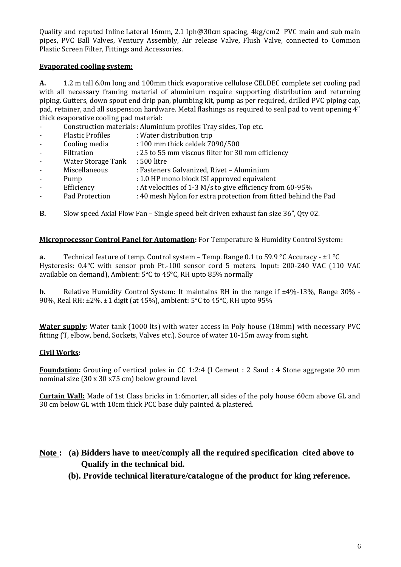Quality and reputed Inline Lateral 16mm, 2.1 Iph@30cm spacing, 4kg/cm2 PVC main and sub main pipes, PVC Ball Valves, Ventury Assembly, Air release Valve, Flush Valve, connected to Common Plastic Screen Filter, Fittings and Accessories.

### **Evaporated cooling system:**

**A.** 1.2 m tall 6.0m long and 100mm thick evaporative cellulose CELDEC complete set cooling pad with all necessary framing material of aluminium require supporting distribution and returning piping. Gutters, down spout end drip pan, plumbing kit, pump as per required, drilled PVC piping cap, pad, retainer, and all suspension hardware. Metal flashings as required to seal pad to vent opening 4" thick evaporative cooling pad material:

- Construction materials: Aluminium profiles Tray sides, Top etc.
- Plastic Profiles : Water distribution trip
- Cooling media : 100 mm thick celdek 7090/500
- Filtration : 25 to 55 mm viscous filter for 30 mm efficiency
- Water Storage Tank : 500 litre
- Miscellaneous : Fasteners Galvanized, Rivet Aluminium
- Pump : 1.0 HP mono block ISI approved equivalent
- Efficiency : At velocities of 1-3 M/s to give efficiency from 60-95%
- Pad Protection : 40 mesh Nylon for extra protection from fitted behind the Pad
- **B.** Slow speed Axial Flow Fan Single speed belt driven exhaust fan size 36", Qty 02.

### **Microprocessor Control Panel for Automation:** For Temperature & Humidity Control System:

**a.** Technical feature of temp. Control system – Temp. Range 0.1 to 59.9 °C Accuracy - ±1 °C Hysteresis: 0.4°C with sensor prob Pt.-100 sensor cord 5 meters. Input: 200-240 VAC (110 VAC available on demand), Ambient: 5°C to 45°C, RH upto 85% normally

**b.** Relative Humidity Control System: It maintains RH in the range if  $\pm 4\%$ -13%, Range 30% -90%, Real RH: ±2%. ±1 digit (at 45%), ambient: 5°C to 45°C, RH upto 95%

**Water supply**: Water tank (1000 lts) with water access in Poly house (18mm) with necessary PVC fitting (T, elbow, bend, Sockets, Valves etc.). Source of water 10-15m away from sight.

### **Civil Works:**

**Foundation:** Grouting of vertical poles in CC 1:2:4 (I Cement : 2 Sand : 4 Stone aggregate 20 mm nominal size (30 x 30 x75 cm) below ground level.

**Curtain Wall:** Made of 1st Class bricks in 1:6morter, all sides of the poly house 60cm above GL and 30 cm below GL with 10cm thick PCC base duly painted & plastered.

# **Note : (a) Bidders have to meet/comply all the required specification cited above to Qualify in the technical bid.**

 **(b). Provide technical literature/catalogue of the product for king reference.**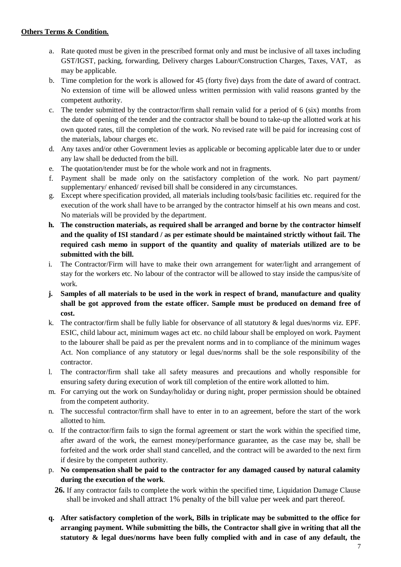- a. Rate quoted must be given in the prescribed format only and must be inclusive of all taxes including GST/IGST, packing, forwarding, Delivery charges Labour/Construction Charges, Taxes, VAT, as may be applicable.
- b. Time completion for the work is allowed for 45 (forty five) days from the date of award of contract. No extension of time will be allowed unless written permission with valid reasons granted by the competent authority.
- c. The tender submitted by the contractor/firm shall remain valid for a period of 6 (six) months from the date of opening of the tender and the contractor shall be bound to take-up the allotted work at his own quoted rates, till the completion of the work. No revised rate will be paid for increasing cost of the materials, labour charges etc.
- d. Any taxes and/or other Government levies as applicable or becoming applicable later due to or under any law shall be deducted from the bill.
- e. The quotation/tender must be for the whole work and not in fragments.
- f. Payment shall be made only on the satisfactory completion of the work. No part payment/ supplementary/ enhanced/ revised bill shall be considered in any circumstances.
- g. Except where specification provided, all materials including tools/basic facilities etc. required for the execution of the work shall have to be arranged by the contractor himself at his own means and cost. No materials will be provided by the department.
- **h. The construction materials, as required shall be arranged and borne by the contractor himself and the quality of ISI standard / as per estimate should be maintained strictly without fail. The required cash memo in support of the quantity and quality of materials utilized are to be submitted with the bill.**
- i. The Contractor/Firm will have to make their own arrangement for water/light and arrangement of stay for the workers etc. No labour of the contractor will be allowed to stay inside the campus/site of work.
- **j. Samples of all materials to be used in the work in respect of brand, manufacture and quality shall be got approved from the estate officer. Sample must be produced on demand free of cost.**
- k. The contractor/firm shall be fully liable for observance of all statutory & legal dues/norms viz. EPF. ESIC, child labour act, minimum wages act etc. no child labour shall be employed on work. Payment to the labourer shall be paid as per the prevalent norms and in to compliance of the minimum wages Act. Non compliance of any statutory or legal dues/norms shall be the sole responsibility of the contractor.
- l. The contractor/firm shall take all safety measures and precautions and wholly responsible for ensuring safety during execution of work till completion of the entire work allotted to him.
- m. For carrying out the work on Sunday/holiday or during night, proper permission should be obtained from the competent authority.
- n. The successful contractor/firm shall have to enter in to an agreement, before the start of the work allotted to him.
- o. If the contractor/firm fails to sign the formal agreement or start the work within the specified time, after award of the work, the earnest money/performance guarantee, as the case may be, shall be forfeited and the work order shall stand cancelled, and the contract will be awarded to the next firm if desire by the competent authority.
- p. **No compensation shall be paid to the contractor for any damaged caused by natural calamity during the execution of the work**.
	- **26.** If any contractor fails to complete the work within the specified time, Liquidation Damage Clause shall be invoked and shall attract 1% penalty of the bill value per week and part thereof.
- **q. After satisfactory completion of the work, Bills in triplicate may be submitted to the office for arranging payment. While submitting the bills, the Contractor shall give in writing that all the statutory & legal dues/norms have been fully complied with and in case of any default, the**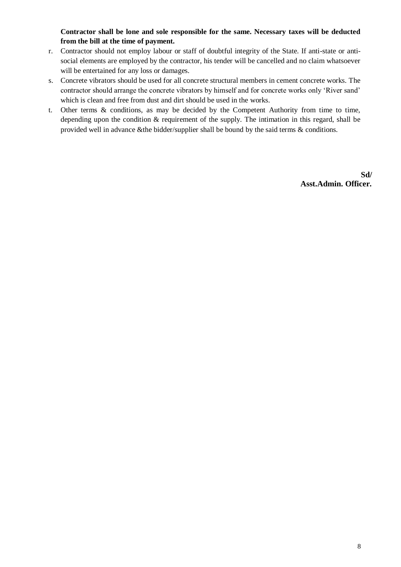**Contractor shall be lone and sole responsible for the same. Necessary taxes will be deducted from the bill at the time of payment.**

- r. Contractor should not employ labour or staff of doubtful integrity of the State. If anti-state or antisocial elements are employed by the contractor, his tender will be cancelled and no claim whatsoever will be entertained for any loss or damages.
- s. Concrete vibrators should be used for all concrete structural members in cement concrete works. The contractor should arrange the concrete vibrators by himself and for concrete works only "River sand" which is clean and free from dust and dirt should be used in the works.
- t. Other terms & conditions, as may be decided by the Competent Authority from time to time, depending upon the condition & requirement of the supply. The intimation in this regard, shall be provided well in advance &the bidder/supplier shall be bound by the said terms & conditions.

**Sd/ Asst.Admin. Officer.**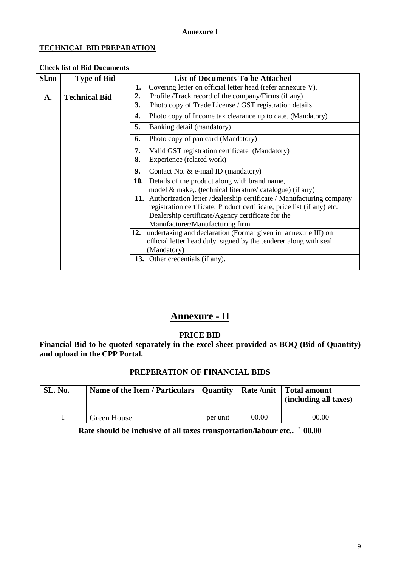### **Annexure I**

## **TECHNICAL BID PREPARATION**

### **Check list of Bid Documents**

| Sl.no | <b>Type of Bid</b>   | <b>List of Documents To be Attached</b>                                   |  |  |  |  |  |  |
|-------|----------------------|---------------------------------------------------------------------------|--|--|--|--|--|--|
|       |                      | Covering letter on official letter head (refer annexure V).<br>1.         |  |  |  |  |  |  |
| A.    | <b>Technical Bid</b> | 2.<br>Profile /Track record of the company/Firms (if any)                 |  |  |  |  |  |  |
|       |                      | 3.<br>Photo copy of Trade License / GST registration details.             |  |  |  |  |  |  |
|       |                      | 4.<br>Photo copy of Income tax clearance up to date. (Mandatory)          |  |  |  |  |  |  |
|       |                      | 5.<br>Banking detail (mandatory)                                          |  |  |  |  |  |  |
|       |                      | Photo copy of pan card (Mandatory)<br>6.                                  |  |  |  |  |  |  |
|       |                      | 7.<br>Valid GST registration certificate (Mandatory)                      |  |  |  |  |  |  |
|       |                      | 8.<br>Experience (related work)                                           |  |  |  |  |  |  |
|       |                      | 9.<br>Contact No. & e-mail ID (mandatory)                                 |  |  |  |  |  |  |
|       |                      | Details of the product along with brand name,<br>10.                      |  |  |  |  |  |  |
|       |                      | model & make,. (technical literature/ catalogue) (if any)                 |  |  |  |  |  |  |
|       |                      | 11. Authorization letter / dealership certificate / Manufacturing company |  |  |  |  |  |  |
|       |                      | registration certificate, Product certificate, price list (if any) etc.   |  |  |  |  |  |  |
|       |                      | Dealership certificate/Agency certificate for the                         |  |  |  |  |  |  |
|       |                      | Manufacturer/Manufacturing firm.                                          |  |  |  |  |  |  |
|       |                      | undertaking and declaration (Format given in annexure III) on<br>12.      |  |  |  |  |  |  |
|       |                      | official letter head duly signed by the tenderer along with seal.         |  |  |  |  |  |  |
|       |                      | (Mandatory)                                                               |  |  |  |  |  |  |
|       |                      | Other credentials (if any).<br>13.                                        |  |  |  |  |  |  |

# **Annexure - II**

### **PRICE BID**

**Financial Bid to be quoted separately in the excel sheet provided as BOQ (Bid of Quantity) and upload in the CPP Portal.**

### **PREPERATION OF FINANCIAL BIDS**

| SL. No.                                                                            | Name of the Item / Particulars   Quantity |          |       | Rate /unit   Total amount<br>(including all taxes) |  |  |  |  |  |
|------------------------------------------------------------------------------------|-------------------------------------------|----------|-------|----------------------------------------------------|--|--|--|--|--|
|                                                                                    | <b>Green House</b>                        | per unit | 00.00 | 00.00                                              |  |  |  |  |  |
| $\degree$ 00.00<br>Rate should be inclusive of all taxes transportation/labour etc |                                           |          |       |                                                    |  |  |  |  |  |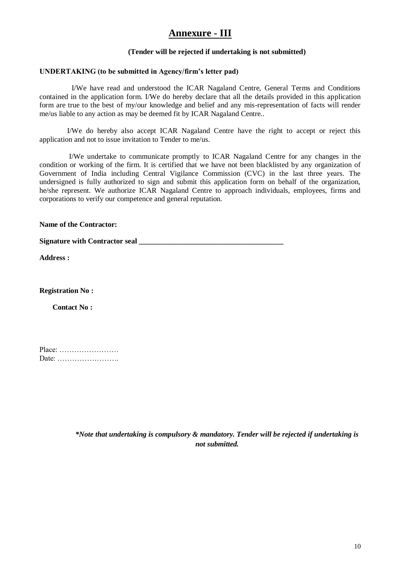# **Annexure - III**

### **(Tender will be rejected if undertaking is not submitted)**

### **UNDERTAKING (to be submitted in Agency/firm's letter pad)**

I/We have read and understood the ICAR Nagaland Centre, General Terms and Conditions contained in the application form. I/We do hereby declare that all the details provided in this application form are true to the best of my/our knowledge and belief and any mis-representation of facts will render me/us liable to any action as may be deemed fit by ICAR Nagaland Centre..

 I/We do hereby also accept ICAR Nagaland Centre have the right to accept or reject this application and not to issue invitation to Tender to me/us.

 I/We undertake to communicate promptly to ICAR Nagaland Centre for any changes in the condition or working of the firm. It is certified that we have not been blacklisted by any organization of Government of India including Central Vigilance Commission (CVC) in the last three years. The undersigned is fully authorized to sign and submit this application form on behalf of the organization, he/she represent. We authorize ICAR Nagaland Centre to approach individuals, employees, firms and corporations to verify our competence and general reputation.

**Name of the Contractor:**

**Signature with Contractor seal** 

**Address :**

**Registration No :**

 **Contact No :**

| Place: |  |  |  |  |  |  |  |
|--------|--|--|--|--|--|--|--|
| Date:  |  |  |  |  |  |  |  |

*\*Note that undertaking is compulsory & mandatory. Tender will be rejected if undertaking is not submitted.*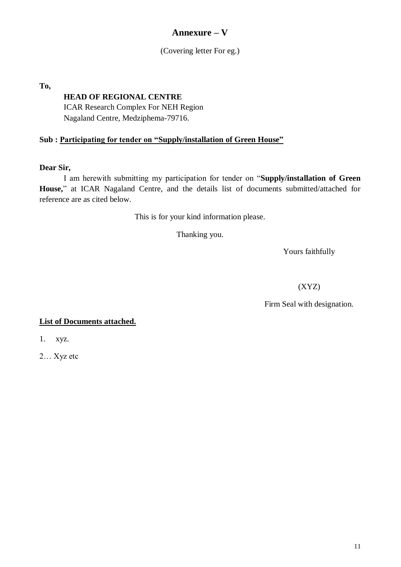# **Annexure – V**

(Covering letter For eg.)

**To,** 

# **HEAD OF REGIONAL CENTRE**

ICAR Research Complex For NEH Region Nagaland Centre, Medziphema-79716.

# **Sub : Participating for tender on "Supply/installation of Green House"**

### **Dear Sir,**

I am herewith submitting my participation for tender on "**Supply/installation of Green House,**" at ICAR Nagaland Centre, and the details list of documents submitted/attached for reference are as cited below.

This is for your kind information please.

Thanking you.

Yours faithfully

(XYZ)

Firm Seal with designation.

## **List of Documents attached.**

1. xyz.

2… Xyz etc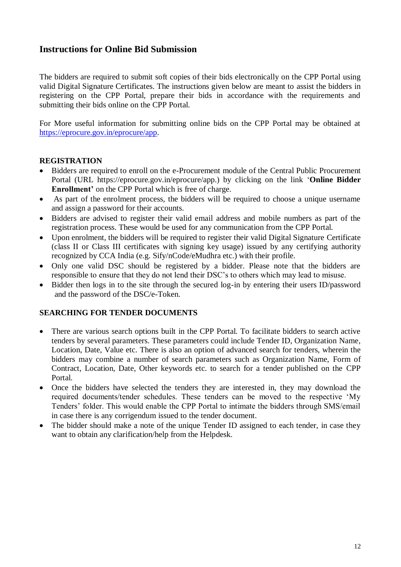# **Instructions for Online Bid Submission**

The bidders are required to submit soft copies of their bids electronically on the CPP Portal using valid Digital Signature Certificates. The instructions given below are meant to assist the bidders in registering on the CPP Portal, prepare their bids in accordance with the requirements and submitting their bids online on the CPP Portal.

For More useful information for submitting online bids on the CPP Portal may be obtained at [https://eprocure.gov.in/eprocure/app.](https://eprocure.gov.in/eprocure/app)

## **REGISTRATION**

- Bidders are required to enroll on the e-Procurement module of the Central Public Procurement Portal (URL https://eprocure.gov.in/eprocure/app.) by clicking on the link "**Online Bidder Enrollment'** on the CPP Portal which is free of charge.
- As part of the enrolment process, the bidders will be required to choose a unique username and assign a password for their accounts.
- Bidders are advised to register their valid email address and mobile numbers as part of the registration process. These would be used for any communication from the CPP Portal.
- Upon enrolment, the bidders will be required to register their valid Digital Signature Certificate (class II or Class III certificates with signing key usage) issued by any certifying authority recognized by CCA India (e.g. Sify/nCode/eMudhra etc.) with their profile.
- Only one valid DSC should be registered by a bidder. Please note that the bidders are responsible to ensure that they do not lend their DSC"s to others which may lead to misuse.
- Bidder then logs in to the site through the secured log-in by entering their users ID/password and the password of the DSC/e-Token.

## **SEARCHING FOR TENDER DOCUMENTS**

- There are various search options built in the CPP Portal. To facilitate bidders to search active tenders by several parameters. These parameters could include Tender ID, Organization Name, Location, Date, Value etc. There is also an option of advanced search for tenders, wherein the bidders may combine a number of search parameters such as Organization Name, Form of Contract, Location, Date, Other keywords etc. to search for a tender published on the CPP Portal.
- Once the bidders have selected the tenders they are interested in, they may download the required documents/tender schedules. These tenders can be moved to the respective "My Tenders" folder. This would enable the CPP Portal to intimate the bidders through SMS/email in case there is any corrigendum issued to the tender document.
- The bidder should make a note of the unique Tender ID assigned to each tender, in case they want to obtain any clarification/help from the Helpdesk.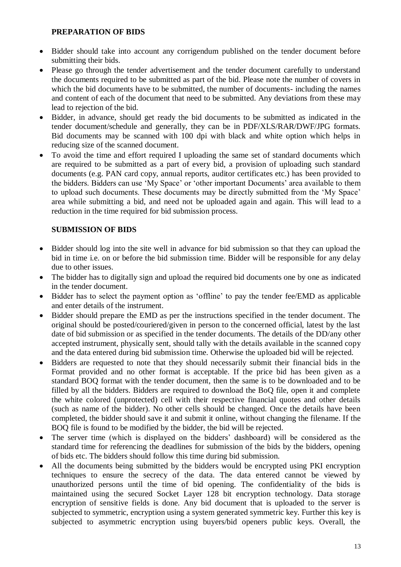### **PREPARATION OF BIDS**

- Bidder should take into account any corrigendum published on the tender document before submitting their bids.
- Please go through the tender advertisement and the tender document carefully to understand the documents required to be submitted as part of the bid. Please note the number of covers in which the bid documents have to be submitted, the number of documents- including the names and content of each of the document that need to be submitted. Any deviations from these may lead to rejection of the bid.
- Bidder, in advance, should get ready the bid documents to be submitted as indicated in the tender document/schedule and generally, they can be in PDF/XLS/RAR/DWF/JPG formats. Bid documents may be scanned with 100 dpi with black and white option which helps in reducing size of the scanned document.
- To avoid the time and effort required I uploading the same set of standard documents which are required to be submitted as a part of every bid, a provision of uploading such standard documents (e.g. PAN card copy, annual reports, auditor certificates etc.) has been provided to the bidders. Bidders can use 'My Space' or 'other important Documents' area available to them to upload such documents. These documents may be directly submitted from the "My Space" area while submitting a bid, and need not be uploaded again and again. This will lead to a reduction in the time required for bid submission process.

## **SUBMISSION OF BIDS**

- Bidder should log into the site well in advance for bid submission so that they can upload the bid in time i.e. on or before the bid submission time. Bidder will be responsible for any delay due to other issues.
- The bidder has to digitally sign and upload the required bid documents one by one as indicated in the tender document.
- Bidder has to select the payment option as 'offline' to pay the tender fee/EMD as applicable and enter details of the instrument.
- Bidder should prepare the EMD as per the instructions specified in the tender document. The original should be posted/couriered/given in person to the concerned official, latest by the last date of bid submission or as specified in the tender documents. The details of the DD/any other accepted instrument, physically sent, should tally with the details available in the scanned copy and the data entered during bid submission time. Otherwise the uploaded bid will be rejected.
- Bidders are requested to note that they should necessarily submit their financial bids in the Format provided and no other format is acceptable. If the price bid has been given as a standard BOQ format with the tender document, then the same is to be downloaded and to be filled by all the bidders. Bidders are required to download the BoQ file, open it and complete the white colored (unprotected) cell with their respective financial quotes and other details (such as name of the bidder). No other cells should be changed. Once the details have been completed, the bidder should save it and submit it online, without changing the filename. If the BOQ file is found to be modified by the bidder, the bid will be rejected.
- The server time (which is displayed on the bidders' dashboard) will be considered as the standard time for referencing the deadlines for submission of the bids by the bidders, opening of bids etc. The bidders should follow this time during bid submission.
- All the documents being submitted by the bidders would be encrypted using PKI encryption techniques to ensure the secrecy of the data. The data entered cannot be viewed by unauthorized persons until the time of bid opening. The confidentiality of the bids is maintained using the secured Socket Layer 128 bit encryption technology. Data storage encryption of sensitive fields is done. Any bid document that is uploaded to the server is subjected to symmetric, encryption using a system generated symmetric key. Further this key is subjected to asymmetric encryption using buyers/bid openers public keys. Overall, the